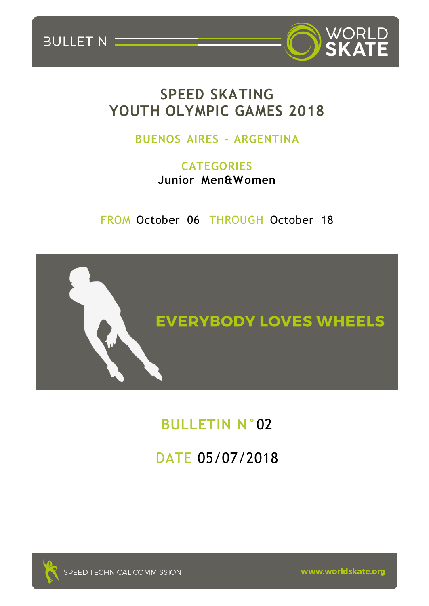

## **SPEED SKATING YOUTH OLYMPIC GAMES 2018**

BULLETIN

## **BUENOS AIRES – ARGENTINA**

**CATEGORIES Junior Men&Women**

FROM October 06 THROUGH October 18



# **BULLETIN N°**02

DATE 05/07/2018

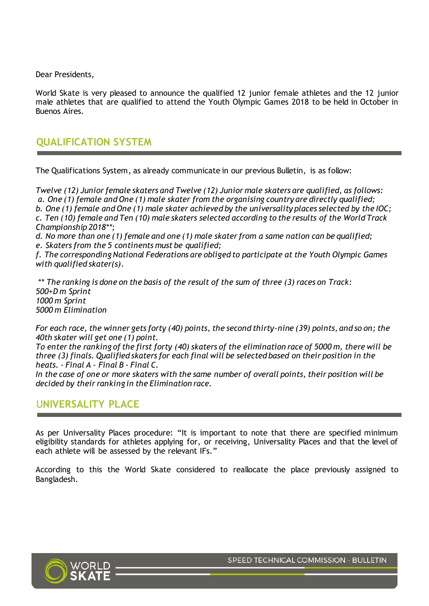Dear Presidents,

World Skate is very pleased to announce the qualified 12 junior female athletes and the 12 junior male athletes that are qualified to attend the Youth Olympic Games 2018 to be held in October in Buenos Aires.

#### **QUALIFICATION SYSTEM**

The Qualifications System, as already communicate in our previous Bulletin, is as follow:

*Twelve (12) Junior female skaters and Twelve (12) Junior male skaters are qualified, as follows: a. One (1) female and One (1) male skater from the organising country are directly qualified; b. One (1) female and One (1) male skater achieved by the universality places selected by the IOC; c. Ten (10) female and Ten (10) male skaters selected according to the results of the World Track Championship 2018\*\*;*

*d. No more than one (1) female and one (1) male skater from a same nation can be qualified;*

*e. Skaters from the 5 continents must be qualified;*

*f. The corresponding National Federations are obliged to participate at the Youth Olympic Games with qualified skater(s).*

*\*\* The ranking is done on the basis of the result of the sum of three (3) races on Track: 500+D m Sprint 1000 m Sprint 5000 m Elimination*

*For each race, the winner gets forty (40) points, the second thirty-nine (39) points, and so on; the 40th skater will get one (1) point.*

*To enter the ranking of the first forty (40) skaters of the elimination race of 5000 m, there will be three (3) finals. Qualified skaters for each final will be selected based on their position in the heats. - Final A - Final B - Final C.*

*In the case of one or more skaters with the same number of overall points, their position will be decided by their ranking in the Elimination race.*

#### U**NIVERSALITY PLACE**

As per Universality Places procedure: "It is important to note that there are specified minimum eligibility standards for athletes applying for, or receiving, Universality Places and that the level of each athlete will be assessed by the relevant IFs."

According to this the World Skate considered to reallocate the place previously assigned to Bangladesh.

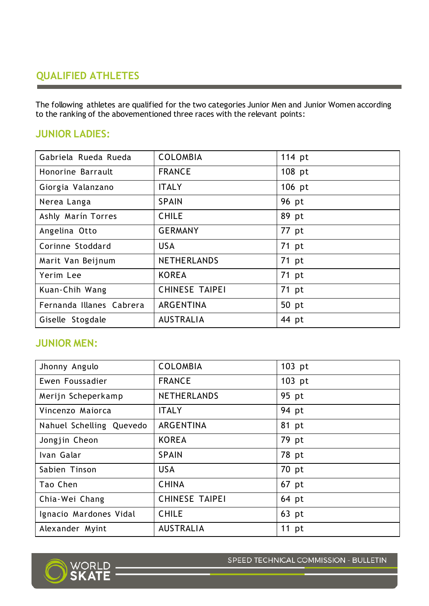## **QUALIFIED ATHLETES**

The following athletes are qualified for the two categories Junior Men and Junior Women according to the ranking of the abovementioned three races with the relevant points:

#### **JUNIOR LADIES:**

| Gabriela Rueda Rueda     | <b>COLOMBIA</b>       | 114 pt |
|--------------------------|-----------------------|--------|
| Honorine Barrault        | <b>FRANCE</b>         | 108 pt |
| Giorgia Valanzano        | <b>ITALY</b>          | 106 pt |
| Nerea Langa              | <b>SPAIN</b>          | 96 pt  |
| Ashly Marín Torres       | <b>CHILE</b>          | 89 pt  |
| Angelina Otto            | <b>GERMANY</b>        | 77 pt  |
| Corinne Stoddard         | <b>USA</b>            | 71 pt  |
| Marit Van Beijnum        | <b>NETHERLANDS</b>    | 71 pt  |
| Yerim Lee                | <b>KOREA</b>          | 71 pt  |
| Kuan-Chih Wang           | <b>CHINESE TAIPEI</b> | 71 pt  |
| Fernanda Illanes Cabrera | ARGENTINA             | 50 pt  |
| Giselle Stogdale         | <b>AUSTRALIA</b>      | 44 pt  |

### **JUNIOR MEN:**

| Jhonny Angulo            | <b>COLOMBIA</b>       | 103 pt  |
|--------------------------|-----------------------|---------|
| Ewen Foussadier          | <b>FRANCE</b>         | 103 pt  |
| Merijn Scheperkamp       | <b>NETHERLANDS</b>    | 95 pt   |
| Vincenzo Maiorca         | <b>ITALY</b>          | 94 pt   |
| Nahuel Schelling Quevedo | ARGENTINA             | 81 pt   |
| Jongjin Cheon            | <b>KOREA</b>          | 79 pt   |
| Ivan Galar               | <b>SPAIN</b>          | 78 pt   |
| Sabien Tinson            | <b>USA</b>            | 70 pt   |
| Tao Chen                 | <b>CHINA</b>          | 67 pt   |
| Chia-Wei Chang           | <b>CHINESE TAIPEI</b> | 64 pt   |
| Ignacio Mardones Vidal   | <b>CHILE</b>          | 63 pt   |
| Alexander Myint          | <b>AUSTRALIA</b>      | $11$ pt |



SPEED TECHNICAL COMMISSION - BULLETIN